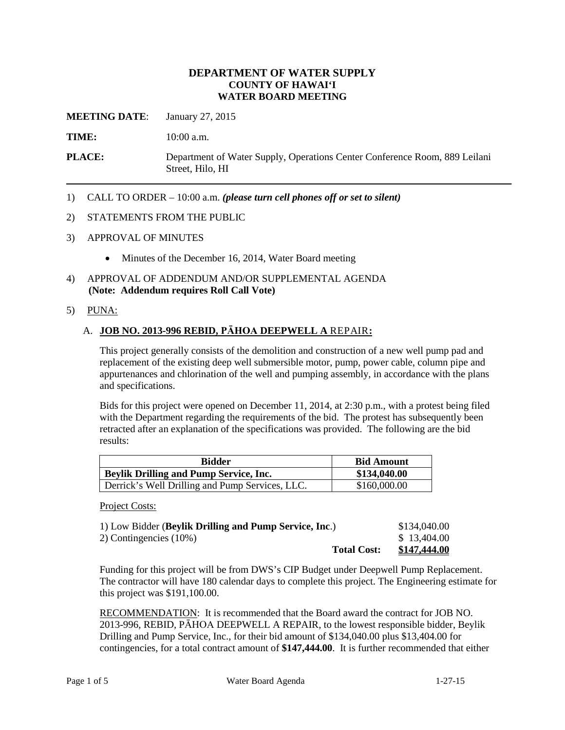## **DEPARTMENT OF WATER SUPPLY COUNTY OF HAWAI'I WATER BOARD MEETING**

**MEETING DATE**: January 27, 2015

**TIME:** 10:00 a.m.

**PLACE:** Department of Water Supply, Operations Center Conference Room, 889 Leilani Street, Hilo, HI

1) CALL TO ORDER – 10:00 a.m. *(please turn cell phones off or set to silent)*

#### 2) STATEMENTS FROM THE PUBLIC

- 3) APPROVAL OF MINUTES
	- Minutes of the December 16, 2014, Water Board meeting
- 4) APPROVAL OF ADDENDUM AND/OR SUPPLEMENTAL AGENDA **(Note: Addendum requires Roll Call Vote)**
- 5) PUNA:

#### A. **JOB NO. 2013-996 REBID, PĀHOA DEEPWELL A** REPAIR**:**

This project generally consists of the demolition and construction of a new well pump pad and replacement of the existing deep well submersible motor, pump, power cable, column pipe and appurtenances and chlorination of the well and pumping assembly, in accordance with the plans and specifications.

Bids for this project were opened on December 11, 2014, at 2:30 p.m., with a protest being filed with the Department regarding the requirements of the bid. The protest has subsequently been retracted after an explanation of the specifications was provided. The following are the bid results:

| <b>Bidder</b>                                   | <b>Bid Amount</b> |
|-------------------------------------------------|-------------------|
| <b>Beylik Drilling and Pump Service, Inc.</b>   | \$134,040.00      |
| Derrick's Well Drilling and Pump Services, LLC. | \$160,000.00      |

Project Costs:

| 1) Low Bidder (Beylik Drilling and Pump Service, Inc.) | \$134,040.00        |
|--------------------------------------------------------|---------------------|
| 2) Contingencies $(10\%)$                              | \$13,404.00         |
| <b>Total Cost:</b>                                     | <u>\$147,444.00</u> |

Funding for this project will be from DWS's CIP Budget under Deepwell Pump Replacement. The contractor will have 180 calendar days to complete this project. The Engineering estimate for this project was \$191,100.00.

RECOMMENDATION: It is recommended that the Board award the contract for JOB NO. 2013-996, REBID, PĀHOA DEEPWELL A REPAIR, to the lowest responsible bidder, Beylik Drilling and Pump Service, Inc., for their bid amount of \$134,040.00 plus \$13,404.00 for contingencies, for a total contract amount of **\$147,444.00**. It is further recommended that either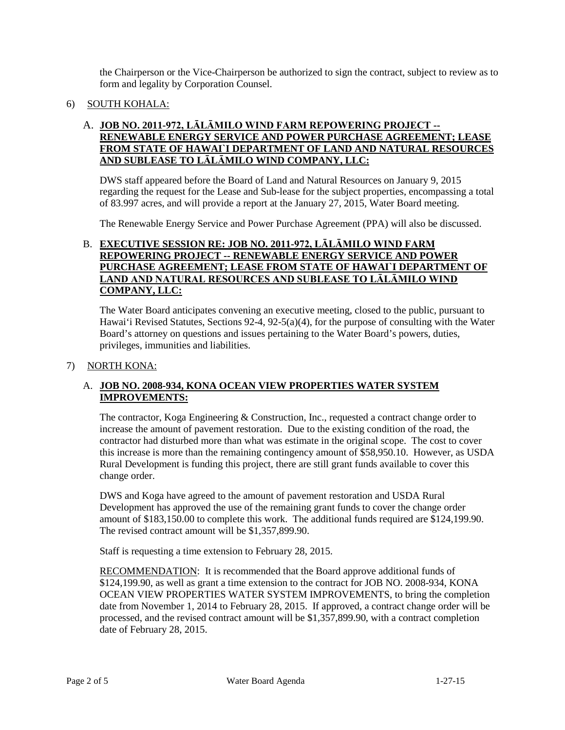the Chairperson or the Vice-Chairperson be authorized to sign the contract, subject to review as to form and legality by Corporation Counsel.

# 6) SOUTH KOHALA:

## A. **JOB NO. 2011-972, LĀLĀMILO WIND FARM REPOWERING PROJECT -- RENEWABLE ENERGY SERVICE AND POWER PURCHASE AGREEMENT; LEASE FROM STATE OF HAWAI`I DEPARTMENT OF LAND AND NATURAL RESOURCES AND SUBLEASE TO LĀLĀMILO WIND COMPANY, LLC:**

DWS staff appeared before the Board of Land and Natural Resources on January 9, 2015 regarding the request for the Lease and Sub-lease for the subject properties, encompassing a total of 83.997 acres, and will provide a report at the January 27, 2015, Water Board meeting.

The Renewable Energy Service and Power Purchase Agreement (PPA) will also be discussed.

## B. **EXECUTIVE SESSION RE: JOB NO. 2011-972, LĀLĀMILO WIND FARM REPOWERING PROJECT -- RENEWABLE ENERGY SERVICE AND POWER PURCHASE AGREEMENT; LEASE FROM STATE OF HAWAI`I DEPARTMENT OF LAND AND NATURAL RESOURCES AND SUBLEASE TO LĀLĀMILO WIND COMPANY, LLC:**

The Water Board anticipates convening an executive meeting, closed to the public, pursuant to Hawai'i Revised Statutes, Sections 92-4, 92-5(a)(4), for the purpose of consulting with the Water Board's attorney on questions and issues pertaining to the Water Board's powers, duties, privileges, immunities and liabilities.

#### 7) NORTH KONA:

## A. **JOB NO. 2008-934, KONA OCEAN VIEW PROPERTIES WATER SYSTEM IMPROVEMENTS:**

The contractor, Koga Engineering & Construction, Inc., requested a contract change order to increase the amount of pavement restoration. Due to the existing condition of the road, the contractor had disturbed more than what was estimate in the original scope. The cost to cover this increase is more than the remaining contingency amount of \$58,950.10. However, as USDA Rural Development is funding this project, there are still grant funds available to cover this change order.

DWS and Koga have agreed to the amount of pavement restoration and USDA Rural Development has approved the use of the remaining grant funds to cover the change order amount of \$183,150.00 to complete this work. The additional funds required are \$124,199.90. The revised contract amount will be \$1,357,899.90.

Staff is requesting a time extension to February 28, 2015.

RECOMMENDATION: It is recommended that the Board approve additional funds of \$124,199.90, as well as grant a time extension to the contract for JOB NO. 2008-934, KONA OCEAN VIEW PROPERTIES WATER SYSTEM IMPROVEMENTS, to bring the completion date from November 1, 2014 to February 28, 2015. If approved, a contract change order will be processed, and the revised contract amount will be \$1,357,899.90, with a contract completion date of February 28, 2015.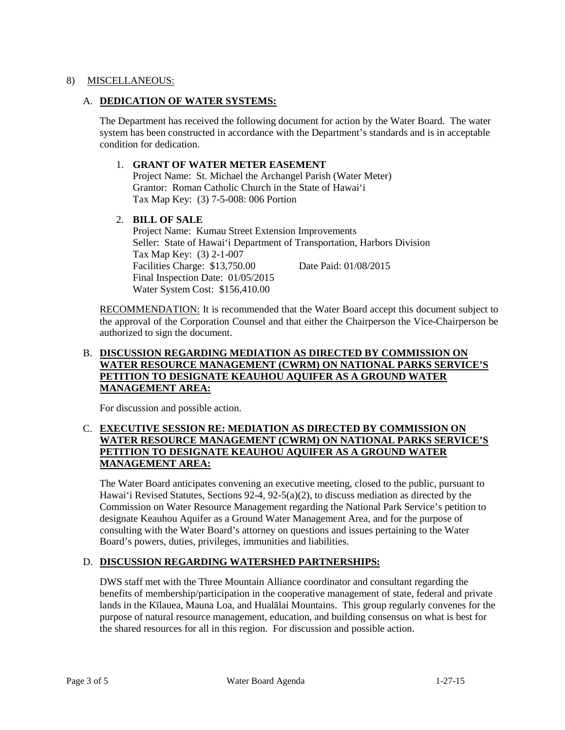## 8) MISCELLANEOUS:

## A. **DEDICATION OF WATER SYSTEMS:**

The Department has received the following document for action by the Water Board. The water system has been constructed in accordance with the Department's standards and is in acceptable condition for dedication.

## 1. **GRANT OF WATER METER EASEMENT**

Project Name: St. Michael the Archangel Parish (Water Meter) Grantor: Roman Catholic Church in the State of Hawai'i Tax Map Key: (3) 7-5-008: 006 Portion

## 2. **BILL OF SALE**

Project Name: Kumau Street Extension Improvements Seller: State of Hawai'i Department of Transportation, Harbors Division Tax Map Key: (3) 2-1-007 Facilities Charge: \$13,750.00 Date Paid: 01/08/2015 Final Inspection Date: 01/05/2015 Water System Cost: \$156,410.00

RECOMMENDATION: It is recommended that the Water Board accept this document subject to the approval of the Corporation Counsel and that either the Chairperson the Vice-Chairperson be authorized to sign the document.

## B. **DISCUSSION REGARDING MEDIATION AS DIRECTED BY COMMISSION ON WATER RESOURCE MANAGEMENT (CWRM) ON NATIONAL PARKS SERVICE'S PETITION TO DESIGNATE KEAUHOU AQUIFER AS A GROUND WATER MANAGEMENT AREA:**

For discussion and possible action.

## C. **EXECUTIVE SESSION RE: MEDIATION AS DIRECTED BY COMMISSION ON WATER RESOURCE MANAGEMENT (CWRM) ON NATIONAL PARKS SERVICE'S PETITION TO DESIGNATE KEAUHOU AQUIFER AS A GROUND WATER MANAGEMENT AREA:**

The Water Board anticipates convening an executive meeting, closed to the public, pursuant to Hawai'i Revised Statutes, Sections 92-4, 92-5(a)(2), to discuss mediation as directed by the Commission on Water Resource Management regarding the National Park Service's petition to designate Keauhou Aquifer as a Ground Water Management Area, and for the purpose of consulting with the Water Board's attorney on questions and issues pertaining to the Water Board's powers, duties, privileges, immunities and liabilities.

# D. **DISCUSSION REGARDING WATERSHED PARTNERSHIPS:**

DWS staff met with the Three Mountain Alliance coordinator and consultant regarding the benefits of membership/participation in the cooperative management of state, federal and private lands in the Kīlauea, Mauna Loa, and Hualālai Mountains. This group regularly convenes for the purpose of natural resource management, education, and building consensus on what is best for the shared resources for all in this region. For discussion and possible action.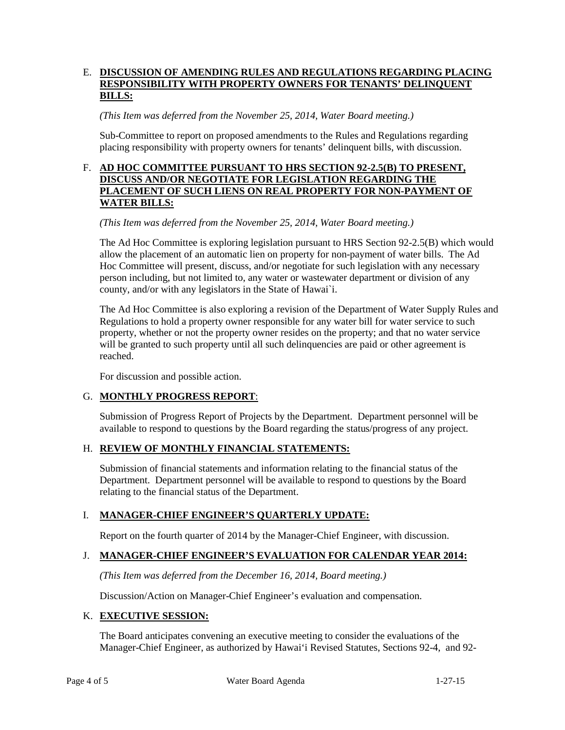## E. **DISCUSSION OF AMENDING RULES AND REGULATIONS REGARDING PLACING RESPONSIBILITY WITH PROPERTY OWNERS FOR TENANTS' DELINQUENT BILLS:**

*(This Item was deferred from the November 25, 2014, Water Board meeting.)*

Sub-Committee to report on proposed amendments to the Rules and Regulations regarding placing responsibility with property owners for tenants' delinquent bills, with discussion.

## F. **AD HOC COMMITTEE PURSUANT TO HRS SECTION 92-2.5(B) TO PRESENT, DISCUSS AND/OR NEGOTIATE FOR LEGISLATION REGARDING THE PLACEMENT OF SUCH LIENS ON REAL PROPERTY FOR NON-PAYMENT OF WATER BILLS:**

*(This Item was deferred from the November 25, 2014, Water Board meeting.)*

The Ad Hoc Committee is exploring legislation pursuant to HRS Section 92-2.5(B) which would allow the placement of an automatic lien on property for non-payment of water bills. The Ad Hoc Committee will present, discuss, and/or negotiate for such legislation with any necessary person including, but not limited to, any water or wastewater department or division of any county, and/or with any legislators in the State of Hawai`i.

The Ad Hoc Committee is also exploring a revision of the Department of Water Supply Rules and Regulations to hold a property owner responsible for any water bill for water service to such property, whether or not the property owner resides on the property; and that no water service will be granted to such property until all such delinquencies are paid or other agreement is reached.

For discussion and possible action.

#### G. **MONTHLY PROGRESS REPORT**:

Submission of Progress Report of Projects by the Department. Department personnel will be available to respond to questions by the Board regarding the status/progress of any project.

# H. **REVIEW OF MONTHLY FINANCIAL STATEMENTS:**

Submission of financial statements and information relating to the financial status of the Department. Department personnel will be available to respond to questions by the Board relating to the financial status of the Department.

#### I. **MANAGER-CHIEF ENGINEER'S QUARTERLY UPDATE:**

Report on the fourth quarter of 2014 by the Manager-Chief Engineer, with discussion.

# J. **MANAGER-CHIEF ENGINEER'S EVALUATION FOR CALENDAR YEAR 2014:**

*(This Item was deferred from the December 16, 2014, Board meeting.)*

Discussion/Action on Manager-Chief Engineer's evaluation and compensation.

#### K. **EXECUTIVE SESSION:**

The Board anticipates convening an executive meeting to consider the evaluations of the Manager-Chief Engineer, as authorized by Hawai'i Revised Statutes, Sections 92-4, and 92